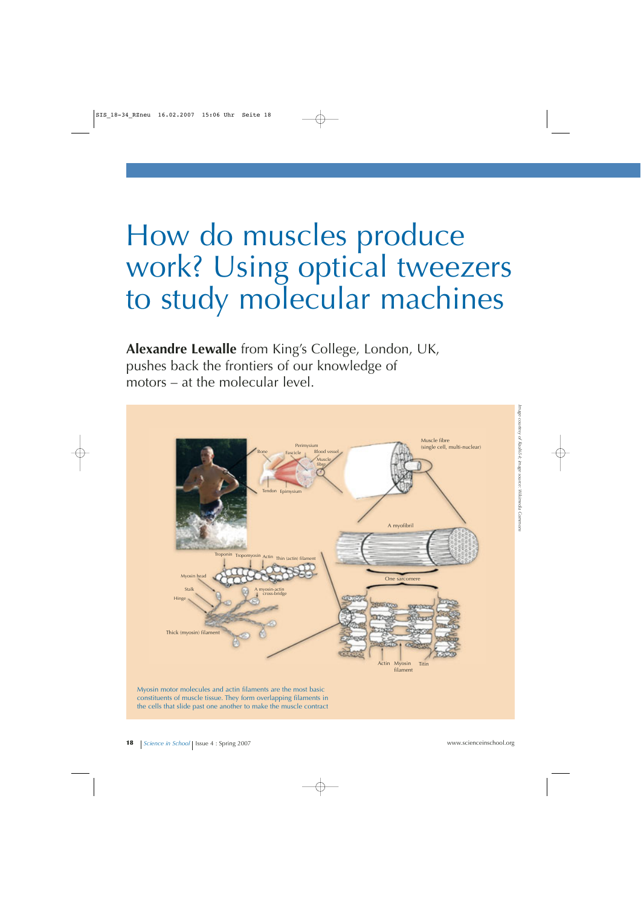## How do muscles produce work? Using optical tweezers to study molecular machines

**Alexandre Lewalle** from King's College, London, UK, pushes back the frontiers of our knowledge of motors – at the molecular level.



the cells that slide past one another to make the muscle contract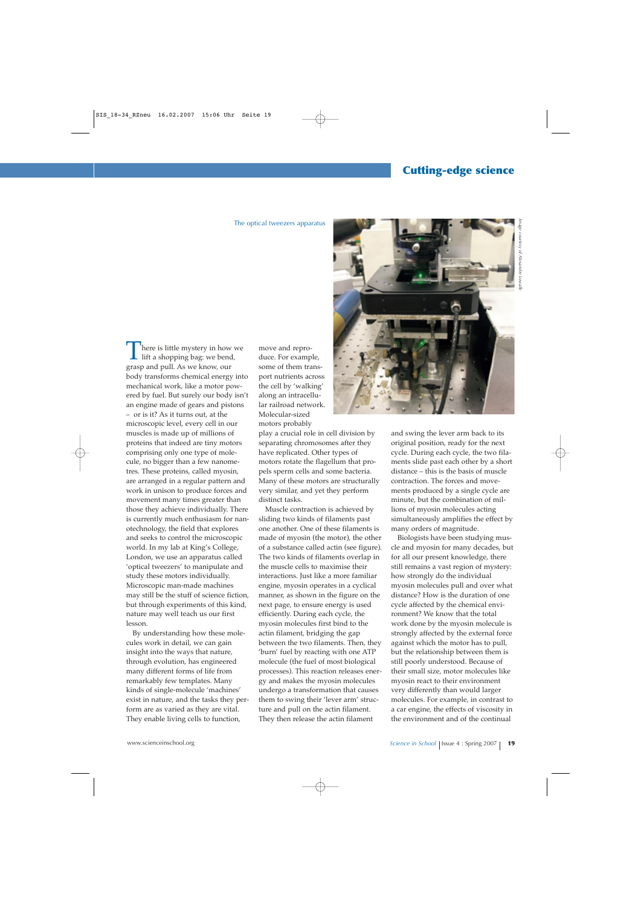## The optical tweezers apparatus

here is little mystery in how we  $\blacksquare$  lift a shopping bag: we bend, grasp and pull. As we know, our body transforms chemical energy into mechanical work, like a motor powered by fuel. But surely our body isn't an engine made of gears and pistons – or is it? As it turns out, at the microscopic level, every cell in our muscles is made up of millions of proteins that indeed are tiny motors comprising only one type of molecule, no bigger than a few nanometres. These proteins, called myosin, are arranged in a regular pattern and work in unison to produce forces and movement many times greater than those they achieve individually. There is currently much enthusiasm for nanotechnology, the field that explores and seeks to control the microscopic world. In my lab at King's College, London, we use an apparatus called 'optical tweezers' to manipulate and study these motors individually. Microscopic man-made machines may still be the stuff of science fiction, but through experiments of this kind, nature may well teach us our first lesson.

By understanding how these molecules work in detail, we can gain insight into the ways that nature, through evolution, has engineered many different forms of life from remarkably few templates. Many kinds of single-molecule 'machines' exist in nature, and the tasks they perform are as varied as they are vital. They enable living cells to function,

move and reproduce. For example, some of them transport nutrients across the cell by 'walking' along an intracellular railroad network. Molecular-sized motors probably

play a crucial role in cell division by separating chromosomes after they have replicated. Other types of motors rotate the flagellum that propels sperm cells and some bacteria. Many of these motors are structurally very similar, and yet they perform distinct tasks.

Muscle contraction is achieved by sliding two kinds of filaments past one another. One of these filaments is made of myosin (the motor), the other of a substance called actin (see figure). The two kinds of filaments overlap in the muscle cells to maximise their interactions. Just like a more familiar engine, myosin operates in a cyclical manner, as shown in the figure on the next page, to ensure energy is used efficiently. During each cycle, the myosin molecules first bind to the actin filament, bridging the gap between the two filaments. Then, they 'burn' fuel by reacting with one ATP molecule (the fuel of most biological processes). This reaction releases energy and makes the myosin molecules undergo a transformation that causes them to swing their 'lever arm' structure and pull on the actin filament. They then release the actin filament



and swing the lever arm back to its original position, ready for the next cycle. During each cycle, the two filaments slide past each other by a short distance – this is the basis of muscle contraction. The forces and movements produced by a single cycle are minute, but the combination of millions of myosin molecules acting simultaneously amplifies the effect by many orders of magnitude.

Biologists have been studying muscle and myosin for many decades, but for all our present knowledge, there still remains a vast region of mystery: how strongly do the individual myosin molecules pull and over what distance? How is the duration of one cycle affected by the chemical environment? We know that the total work done by the myosin molecule is strongly affected by the external force against which the motor has to pull, but the relationship between them is still poorly understood. Because of their small size, motor molecules like myosin react to their environment very differently than would larger molecules. For example, in contrast to a car engine, the effects of viscosity in the environment and of the continual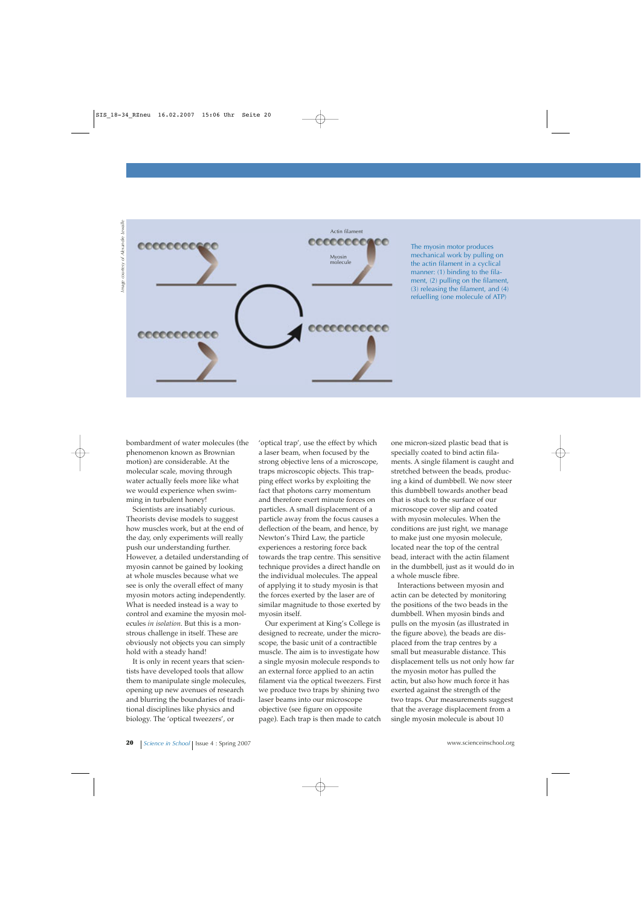

The myosin motor produces mechanical work by pulling on the actin filament in a cyclical manner: (1) binding to the filament, (2) pulling on the filament, (3) releasing the filament, and (4) refuelling (one molecule of ATP)

bombardment of water molecules (the phenomenon known as Brownian motion) are considerable. At the molecular scale, moving through water actually feels more like what we would experience when swimming in turbulent honey!

Scientists are insatiably curious. Theorists devise models to suggest how muscles work, but at the end of the day, only experiments will really push our understanding further. However, a detailed understanding of myosin cannot be gained by looking at whole muscles because what we see is only the overall effect of many myosin motors acting independently. What is needed instead is a way to control and examine the myosin molecules *in isolation*. But this is a monstrous challenge in itself. These are obviously not objects you can simply hold with a steady hand!

It is only in recent years that scientists have developed tools that allow them to manipulate single molecules, opening up new avenues of research and blurring the boundaries of traditional disciplines like physics and biology. The 'optical tweezers', or

'optical trap', use the effect by which a laser beam, when focused by the strong objective lens of a microscope, traps microscopic objects. This trapping effect works by exploiting the fact that photons carry momentum and therefore exert minute forces on particles. A small displacement of a particle away from the focus causes a deflection of the beam, and hence, by Newton's Third Law, the particle experiences a restoring force back towards the trap centre. This sensitive technique provides a direct handle on the individual molecules. The appeal of applying it to study myosin is that the forces exerted by the laser are of similar magnitude to those exerted by myosin itself.

Our experiment at King's College is designed to recreate, under the microscope, the basic unit of a contractible muscle. The aim is to investigate how a single myosin molecule responds to an external force applied to an actin filament via the optical tweezers. First we produce two traps by shining two laser beams into our microscope objective (see figure on opposite page). Each trap is then made to catch

one micron-sized plastic bead that is specially coated to bind actin filaments. A single filament is caught and stretched between the beads, producing a kind of dumbbell. We now steer this dumbbell towards another bead that is stuck to the surface of our microscope cover slip and coated with myosin molecules. When the conditions are just right, we manage to make just one myosin molecule, located near the top of the central bead, interact with the actin filament in the dumbbell, just as it would do in a whole muscle fibre.

Interactions between myosin and actin can be detected by monitoring the positions of the two beads in the dumbbell. When myosin binds and pulls on the myosin (as illustrated in the figure above), the beads are displaced from the trap centres by a small but measurable distance. This displacement tells us not only how far the myosin motor has pulled the actin, but also how much force it has exerted against the strength of the two traps. Our measurements suggest that the average displacement from a single myosin molecule is about 10